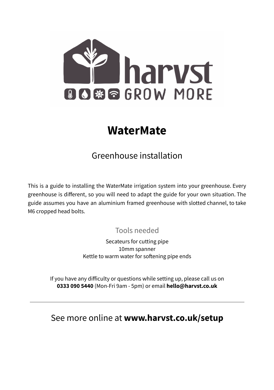

# **WaterMate**

# Greenhouse installation

This is a guide to installing the WaterMate irrigation system into your greenhouse. Every greenhouse is different, so you will need to adapt the guide for your own situation. The guide assumes you have an aluminium framed greenhouse with slotted channel, to take M6 cropped head bolts.

### Tools needed

Secateurs for cutting pipe 10mm spanner Kettle to warm water for softening pipe ends

If you have any difficulty or questions while setting up, please call us on **0333 090 5440** (Mon-Fri 9am - 5pm) or email **hello@harvst.co.uk**

See more online at **www.harvst.co.uk/setup**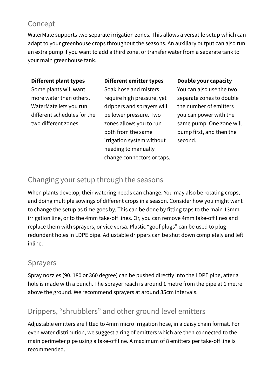### Concept

WaterMate supports two separate irrigation zones. This allows a versatile setup which can adapt to your greenhouse crops throughout the seasons. An auxiliary output can also run an extra pump if you want to add a third zone, or transfer water from a separate tank to your main greenhouse tank.

#### **Different plant types**

#### **Different emitter types**

Some plants will want more water than others. WaterMate lets you run different schedules for the two different zones.

Soak hose and misters require high pressure, yet drippers and sprayers will be lower pressure. Two zones allows you to run both from the same irrigation system without needing to manually change connectors or taps.

#### **Double your capacity**

You can also use the two separate zones to double the number of emitters you can power with the same pump. One zone will pump first, and then the second.

#### Changing your setup through the seasons

When plants develop, their watering needs can change. You may also be rotating crops, and doing multiple sowings of different crops in a season. Consider how you might want to change the setup as time goes by. This can be done by fitting taps to the main 13mm irrigation line, or to the 4mm take-off lines. Or, you can remove 4mm take-off lines and replace them with sprayers, or vice versa. Plastic "goof plugs" can be used to plug redundant holes in LDPE pipe. Adjustable drippers can be shut down completely and left inline.

#### Sprayers

Spray nozzles (90, 180 or 360 degree) can be pushed directly into the LDPE pipe, after a hole is made with a punch. The sprayer reach is around 1 metre from the pipe at 1 metre above the ground. We recommend sprayers at around 35cm intervals.

### Drippers, "shrubblers" and other ground level emitters

Adjustable emitters are fitted to 4mm micro irrigation hose, in a daisy chain format. For even water distribution, we suggest a ring of emitters which are then connected to the main perimeter pipe using a take-off line. A maximum of 8 emitters per take-off line is recommended.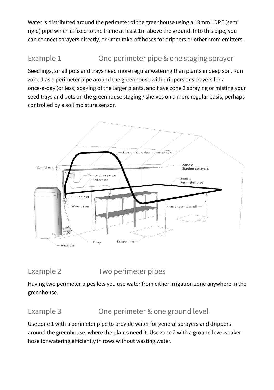Water is distributed around the perimeter of the greenhouse using a 13mm LDPE (semi rigid) pipe which is fixed to the frame at least 1m above the ground. Into this pipe, you can connect sprayers directly, or 4mm take-off hoses for drippers or other 4mm emitters.

## Example 1 One perimeter pipe & one staging sprayer

Seedlings, small pots and trays need more regular watering than plants in deep soil. Run zone 1 as a perimeter pipe around the greenhouse with drippers or sprayers for a once-a-day (or less) soaking of the larger plants, and have zone 2 spraying or misting your seed trays and pots on the greenhouse staging / shelves on a more regular basis, perhaps controlled by a soil moisture sensor.



#### Example 2 Two perimeter pipes

Having two perimeter pipes lets you use water from either irrigation zone anywhere in the greenhouse.

#### Example 3 Che perimeter & one ground level

Use zone 1 with a perimeter pipe to provide water for general sprayers and drippers around the greenhouse, where the plants need it. Use zone 2 with a ground level soaker hose for watering efficiently in rows without wasting water.